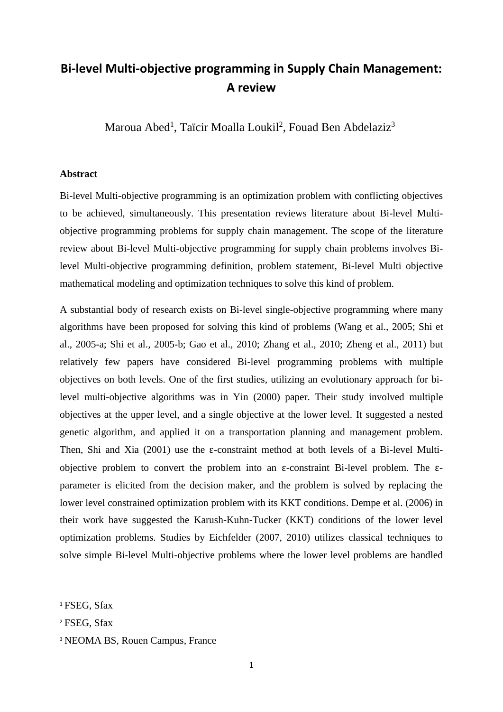## **Bi-level Multi-objective programming in Supply Chain Management: A review**

Maroua Abed<sup>1</sup>, [Taïcir Moalla Loukil](https://www.researchgate.net/profile/Taicir_Loukil)<sup>2</sup>, [Fouad Ben Abdelaziz](http://scholar.google.com/citations?user=-N0xGdgAAAAJ&hl=fr)<sup>3</sup>

## **Abstract**

Bi-level Multi-objective programming is an optimization problem with conflicting objectives to be achieved, simultaneously. This presentation reviews literature about Bi-level Multiobjective programming problems for supply chain management. The scope of the literature review about Bi-level Multi-objective programming for supply chain problems involves Bilevel Multi-objective programming definition, problem statement, Bi-level Multi objective mathematical modeling and optimization techniques to solve this kind of problem.

A substantial body of research exists on Bi-level single-objective programming where many algorithms have been proposed for solving this kind of problems (Wang et al., 2005; Shi et al., 2005-a; Shi et al., 2005-b; Gao et al., 2010; Zhang et al., 2010; Zheng et al., 2011) but relatively few papers have considered Bi-level programming problems with multiple objectives on both levels. One of the first studies, utilizing an evolutionary approach for bilevel multi-objective algorithms was in Yin (2000) paper. Their study involved multiple objectives at the upper level, and a single objective at the lower level. It suggested a nested genetic algorithm, and applied it on a transportation planning and management problem. Then, Shi and Xia (2001) use the  $\varepsilon$ -constraint method at both levels of a Bi-level Multiobjective problem to convert the problem into an ε-constraint Bi-level problem. The εparameter is elicited from the decision maker, and the problem is solved by replacing the lower level constrained optimization problem with its KKT conditions. Dempe et al. (2006) in their work have suggested the Karush-Kuhn-Tucker (KKT) conditions of the lower level optimization problems. Studies by Eichfelder (2007, 2010) utilizes classical techniques to solve simple Bi-level Multi-objective problems where the lower level problems are handled

 $\overline{a}$ 

<sup>1</sup> FSEG, Sfax

<sup>2</sup> FSEG, Sfax

<sup>3</sup> NEOMA BS, Rouen Campus, France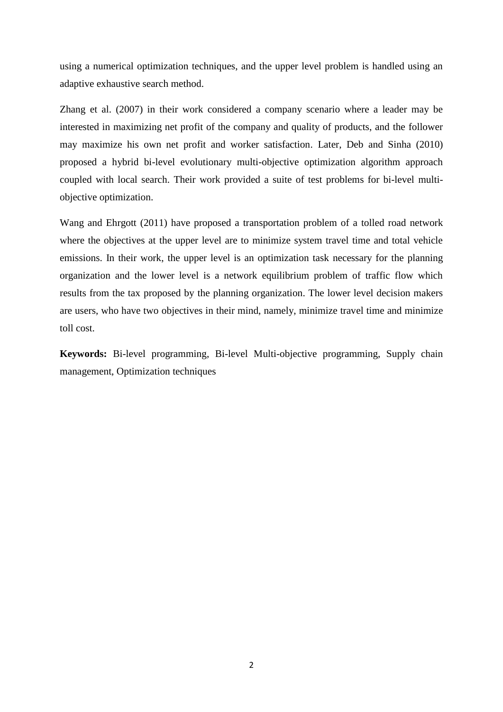using a numerical optimization techniques, and the upper level problem is handled using an adaptive exhaustive search method.

Zhang et al. (2007) in their work considered a company scenario where a leader may be interested in maximizing net profit of the company and quality of products, and the follower may maximize his own net profit and worker satisfaction. Later, Deb and Sinha (2010) proposed a hybrid bi-level evolutionary multi-objective optimization algorithm approach coupled with local search. Their work provided a suite of test problems for bi-level multiobjective optimization.

Wang and Ehrgott (2011) have proposed a transportation problem of a tolled road network where the objectives at the upper level are to minimize system travel time and total vehicle emissions. In their work, the upper level is an optimization task necessary for the planning organization and the lower level is a network equilibrium problem of traffic flow which results from the tax proposed by the planning organization. The lower level decision makers are users, who have two objectives in their mind, namely, minimize travel time and minimize toll cost.

**Keywords:** Bi-level programming, Bi-level Multi-objective programming, Supply chain management, Optimization techniques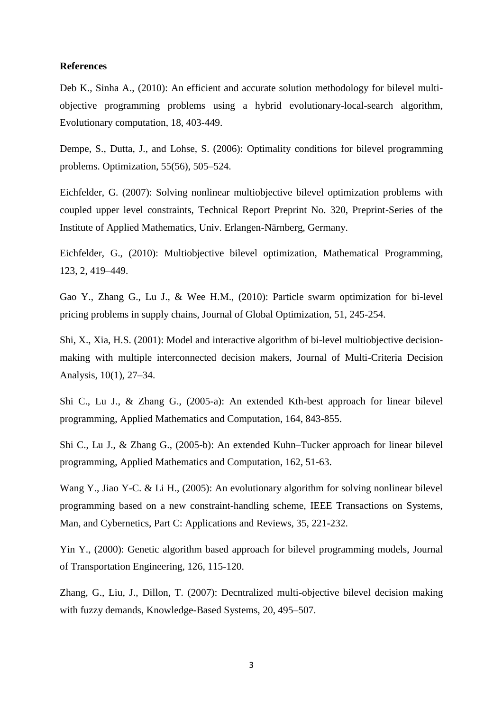## **References**

Deb K., Sinha A., (2010): An efficient and accurate solution methodology for bilevel multiobjective programming problems using a hybrid evolutionary-local-search algorithm, Evolutionary computation, 18, 403-449.

Dempe, S., Dutta, J., and Lohse, S. (2006): Optimality conditions for bilevel programming problems. Optimization, 55(56), 505–524.

Eichfelder, G. (2007): Solving nonlinear multiobjective bilevel optimization problems with coupled upper level constraints, Technical Report Preprint No. 320, Preprint-Series of the Institute of Applied Mathematics, Univ. Erlangen-Närnberg, Germany.

Eichfelder, G., (2010): Multiobjective bilevel optimization, [Mathematical Programming,](https://link.springer.com/journal/10107) 123, [2,](https://link.springer.com/journal/10107/123/2/page/1) 419–449.

Gao Y., Zhang G., Lu J., & Wee H.M., (2010): Particle swarm optimization for bi-level pricing problems in supply chains, Journal of Global Optimization, 51, 245-254.

Shi, X., Xia, H.S. (2001): Model and interactive algorithm of bi-level multiobjective decisionmaking with multiple interconnected decision makers, Journal of Multi-Criteria Decision Analysis, 10(1), 27–34.

Shi C., Lu J., & Zhang G., (2005-a): An extended Kth-best approach for linear bilevel programming, Applied Mathematics and Computation, 164, 843-855.

Shi C., Lu J., & Zhang G., (2005-b): An extended Kuhn–Tucker approach for linear bilevel programming, Applied Mathematics and Computation, 162, 51-63.

Wang Y., Jiao Y-C. & Li H., (2005): An evolutionary algorithm for solving nonlinear bilevel programming based on a new constraint-handling scheme, IEEE Transactions on Systems, Man, and Cybernetics, Part C: Applications and Reviews, 35, 221-232.

Yin Y., (2000): Genetic algorithm based approach for bilevel programming models, Journal of Transportation Engineering, 126, 115-120.

Zhang, G., Liu, J., Dillon, T. (2007): Decntralized multi-objective bilevel decision making with fuzzy demands, Knowledge-Based Systems, 20, 495–507.